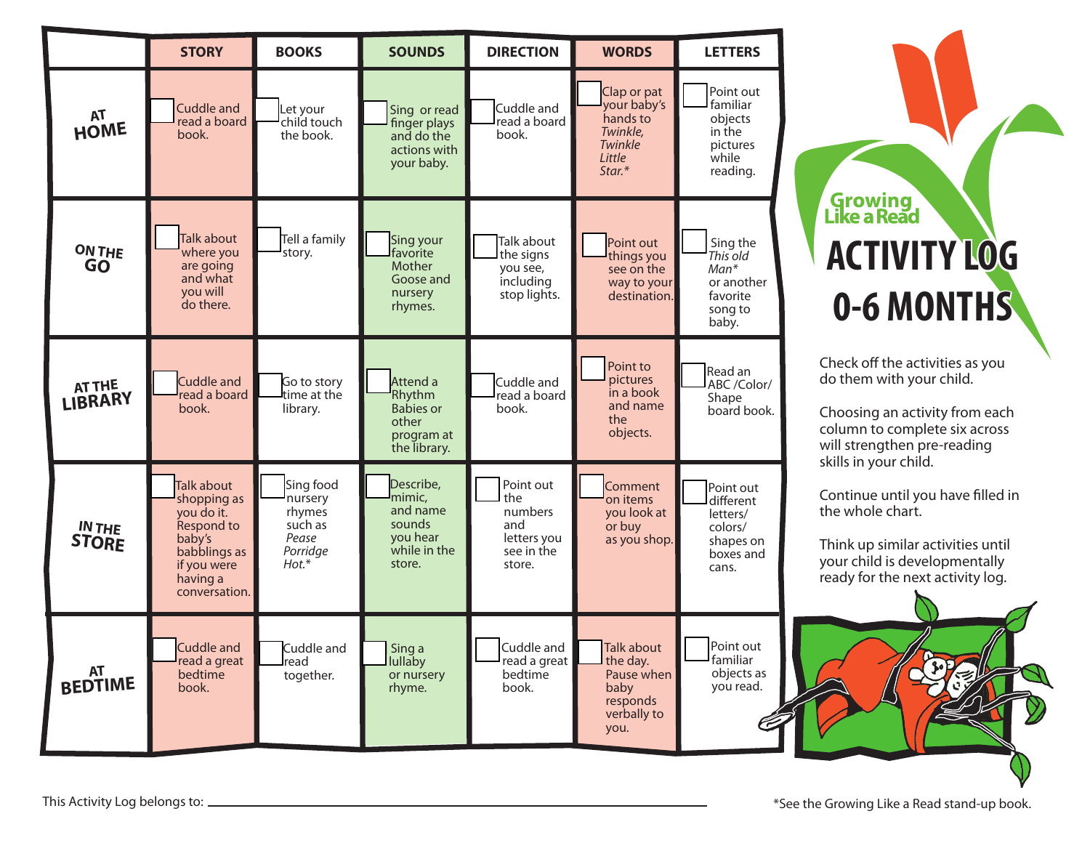

# Growing<br>Like a Read **0-6 MONTHS ACTIVITY LOG0-6 MONTHS ACTIVITY LOG**

Check off the activities as you do them with your child.

Choosing an activity from each column to complete six across will strengthen pre-reading skills in your child.

Continue until you have filled in the whole chart.

Think up similar activities until your child is developmentally ready for the next activity log.